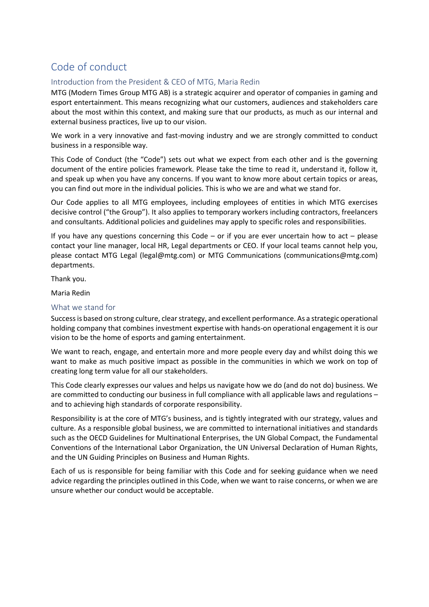# Code of conduct

# Introduction from the President & CEO of MTG, Maria Redin

MTG (Modern Times Group MTG AB) is a strategic acquirer and operator of companies in gaming and esport entertainment. This means recognizing what our customers, audiences and stakeholders care about the most within this context, and making sure that our products, as much as our internal and external business practices, live up to our vision.

We work in a very innovative and fast-moving industry and we are strongly committed to conduct business in a responsible way.

This Code of Conduct (the "Code") sets out what we expect from each other and is the governing document of the entire policies framework. Please take the time to read it, understand it, follow it, and speak up when you have any concerns. If you want to know more about certain topics or areas, you can find out more in the individual policies. This is who we are and what we stand for.

Our Code applies to all MTG employees, including employees of entities in which MTG exercises decisive control ("the Group"). It also applies to temporary workers including contractors, freelancers and consultants. Additional policies and guidelines may apply to specific roles and responsibilities.

If you have any questions concerning this Code – or if you are ever uncertain how to act – please contact your line manager, local HR, Legal departments or CEO. If your local teams cannot help you, please contact MTG Legal (legal@mtg.com) or MTG Communications (communications@mtg.com) departments.

Thank you.

Maria Redin

# What we stand for

Success is based on strong culture, clear strategy, and excellent performance. As a strategic operational holding company that combines investment expertise with hands-on operational engagement it is our vision to be the home of esports and gaming entertainment.

We want to reach, engage, and entertain more and more people every day and whilst doing this we want to make as much positive impact as possible in the communities in which we work on top of creating long term value for all our stakeholders.

This Code clearly expresses our values and helps us navigate how we do (and do not do) business. We are committed to conducting our business in full compliance with all applicable laws and regulations – and to achieving high standards of corporate responsibility.

Responsibility is at the core of MTG's business, and is tightly integrated with our strategy, values and culture. As a responsible global business, we are committed to international initiatives and standards such as the OECD Guidelines for Multinational Enterprises, the UN Global Compact, the Fundamental Conventions of the International Labor Organization, the UN Universal Declaration of Human Rights, and the UN Guiding Principles on Business and Human Rights.

Each of us is responsible for being familiar with this Code and for seeking guidance when we need advice regarding the principles outlined in this Code, when we want to raise concerns, or when we are unsure whether our conduct would be acceptable.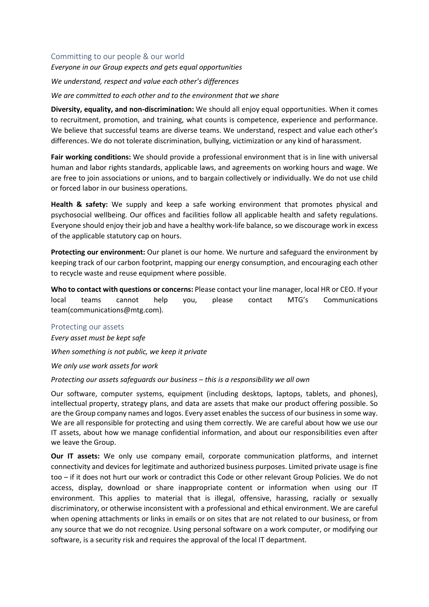### Committing to our people & our world

*Everyone in our Group expects and gets equal opportunities*

*We understand, respect and value each other's differences*

*We are committed to each other and to the environment that we share*

**Diversity, equality, and non-discrimination:** We should all enjoy equal opportunities. When it comes to recruitment, promotion, and training, what counts is competence, experience and performance. We believe that successful teams are diverse teams. We understand, respect and value each other's differences. We do not tolerate discrimination, bullying, victimization or any kind of harassment.

**Fair working conditions:** We should provide a professional environment that is in line with universal human and labor rights standards, applicable laws, and agreements on working hours and wage. We are free to join associations or unions, and to bargain collectively or individually. We do not use child or forced labor in our business operations.

**Health & safety:** We supply and keep a safe working environment that promotes physical and psychosocial wellbeing. Our offices and facilities follow all applicable health and safety regulations. Everyone should enjoy their job and have a healthy work-life balance, so we discourage work in excess of the applicable statutory cap on hours.

**Protecting our environment:** Our planet is our home. We nurture and safeguard the environment by keeping track of our carbon footprint, mapping our energy consumption, and encouraging each other to recycle waste and reuse equipment where possible.

**Who to contact with questions or concerns:** Please contact your line manager, local HR or CEO. If your local teams cannot help you, please contact MTG's Communications team(communications@mtg.com).

#### Protecting our assets

*Every asset must be kept safe*

*When something is not public, we keep it private*

*We only use work assets for work*

*Protecting our assets safeguards our business – this is a responsibility we all own*

Our software, computer systems, equipment (including desktops, laptops, tablets, and phones), intellectual property, strategy plans, and data are assets that make our product offering possible. So are the Group company names and logos. Every asset enables the success of our business in some way. We are all responsible for protecting and using them correctly. We are careful about how we use our IT assets, about how we manage confidential information, and about our responsibilities even after we leave the Group.

**Our IT assets:** We only use company email, corporate communication platforms, and internet connectivity and devices for legitimate and authorized business purposes. Limited private usage is fine too – if it does not hurt our work or contradict this Code or other relevant Group Policies. We do not access, display, download or share inappropriate content or information when using our IT environment. This applies to material that is illegal, offensive, harassing, racially or sexually discriminatory, or otherwise inconsistent with a professional and ethical environment. We are careful when opening attachments or links in emails or on sites that are not related to our business, or from any source that we do not recognize. Using personal software on a work computer, or modifying our software, is a security risk and requires the approval of the local IT department.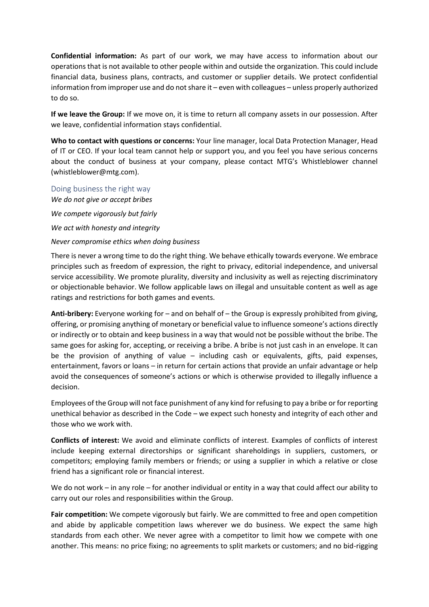**Confidential information:** As part of our work, we may have access to information about our operations that is not available to other people within and outside the organization. This could include financial data, business plans, contracts, and customer or supplier details. We protect confidential information from improper use and do not share it – even with colleagues – unless properly authorized to do so.

**If we leave the Group:** If we move on, it is time to return all company assets in our possession. After we leave, confidential information stays confidential.

**Who to contact with questions or concerns:** Your line manager, local Data Protection Manager, Head of IT or CEO. If your local team cannot help or support you, and you feel you have serious concerns about the conduct of business at your company, please contact MTG's Whistleblower channel (whistleblower@mtg.com).

Doing business the right way *We do not give or accept bribes We compete vigorously but fairly We act with honesty and integrity* 

#### *Never compromise ethics when doing business*

There is never a wrong time to do the right thing. We behave ethically towards everyone. We embrace principles such as freedom of expression, the right to privacy, editorial independence, and universal service accessibility. We promote plurality, diversity and inclusivity as well as rejecting discriminatory or objectionable behavior. We follow applicable laws on illegal and unsuitable content as well as age ratings and restrictions for both games and events.

**Anti-bribery:** Everyone working for – and on behalf of – the Group is expressly prohibited from giving, offering, or promising anything of monetary or beneficial value to influence someone's actions directly or indirectly or to obtain and keep business in a way that would not be possible without the bribe. The same goes for asking for, accepting, or receiving a bribe. A bribe is not just cash in an envelope. It can be the provision of anything of value – including cash or equivalents, gifts, paid expenses, entertainment, favors or loans – in return for certain actions that provide an unfair advantage or help avoid the consequences of someone's actions or which is otherwise provided to illegally influence a decision.

Employees of the Group will not face punishment of any kind for refusing to pay a bribe or for reporting unethical behavior as described in the Code – we expect such honesty and integrity of each other and those who we work with.

**Conflicts of interest:** We avoid and eliminate conflicts of interest. Examples of conflicts of interest include keeping external directorships or significant shareholdings in suppliers, customers, or competitors; employing family members or friends; or using a supplier in which a relative or close friend has a significant role or financial interest.

We do not work – in any role – for another individual or entity in a way that could affect our ability to carry out our roles and responsibilities within the Group.

**Fair competition:** We compete vigorously but fairly. We are committed to free and open competition and abide by applicable competition laws wherever we do business. We expect the same high standards from each other. We never agree with a competitor to limit how we compete with one another. This means: no price fixing; no agreements to split markets or customers; and no bid-rigging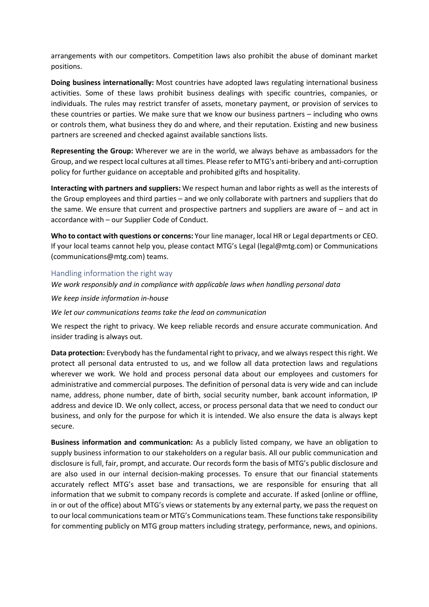arrangements with our competitors. Competition laws also prohibit the abuse of dominant market positions.

**Doing business internationally:** Most countries have adopted laws regulating international business activities. Some of these laws prohibit business dealings with specific countries, companies, or individuals. The rules may restrict transfer of assets, monetary payment, or provision of services to these countries or parties. We make sure that we know our business partners – including who owns or controls them, what business they do and where, and their reputation. Existing and new business partners are screened and checked against available sanctions lists.

**Representing the Group:** Wherever we are in the world, we always behave as ambassadors for the Group, and we respect local cultures at all times. Please refer to MTG's anti-bribery and anti-corruption policy for further guidance on acceptable and prohibited gifts and hospitality.

**Interacting with partners and suppliers:** We respect human and labor rights as well as the interests of the Group employees and third parties – and we only collaborate with partners and suppliers that do the same. We ensure that current and prospective partners and suppliers are aware of – and act in accordance with – our Supplier Code of Conduct.

**Who to contact with questions or concerns:** Your line manager, local HR or Legal departments or CEO. If your local teams cannot help you, please contact MTG's Legal (legal@mtg.com) or Communications (communications@mtg.com) teams.

## Handling information the right way

*We work responsibly and in compliance with applicable laws when handling personal data*

*We keep inside information in-house*

*We let our communications teams take the lead on communication*

We respect the right to privacy. We keep reliable records and ensure accurate communication. And insider trading is always out.

**Data protection:** Everybody has the fundamental right to privacy, and we always respect this right. We protect all personal data entrusted to us, and we follow all data protection laws and regulations wherever we work. We hold and process personal data about our employees and customers for administrative and commercial purposes. The definition of personal data is very wide and can include name, address, phone number, date of birth, social security number, bank account information, IP address and device ID. We only collect, access, or process personal data that we need to conduct our business, and only for the purpose for which it is intended. We also ensure the data is always kept secure.

**Business information and communication:** As a publicly listed company, we have an obligation to supply business information to our stakeholders on a regular basis. All our public communication and disclosure is full, fair, prompt, and accurate. Our records form the basis of MTG's public disclosure and are also used in our internal decision-making processes. To ensure that our financial statements accurately reflect MTG's asset base and transactions, we are responsible for ensuring that all information that we submit to company records is complete and accurate. If asked (online or offline, in or out of the office) about MTG's views or statements by any external party, we pass the request on to our local communications team or MTG's Communications team. These functions take responsibility for commenting publicly on MTG group matters including strategy, performance, news, and opinions.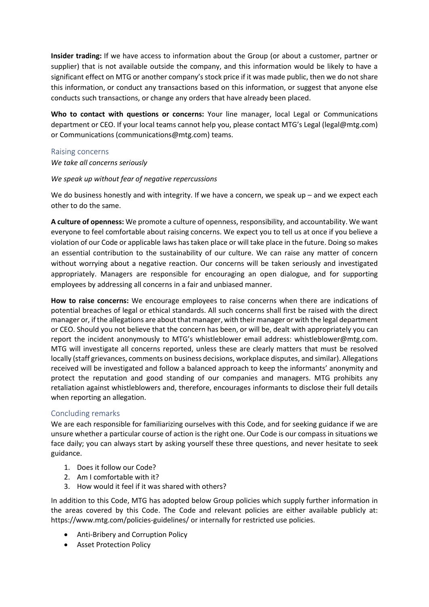**Insider trading:** If we have access to information about the Group (or about a customer, partner or supplier) that is not available outside the company, and this information would be likely to have a significant effect on MTG or another company's stock price if it was made public, then we do not share this information, or conduct any transactions based on this information, or suggest that anyone else conducts such transactions, or change any orders that have already been placed.

**Who to contact with questions or concerns:** Your line manager, local Legal or Communications department or CEO. If your local teams cannot help you, please contact MTG's Legal (legal@mtg.com) or Communications (communications@mtg.com) teams.

## Raising concerns

## *We take all concerns seriously*

# *We speak up without fear of negative repercussions*

We do business honestly and with integrity. If we have a concern, we speak up – and we expect each other to do the same.

**A culture of openness:** We promote a culture of openness, responsibility, and accountability. We want everyone to feel comfortable about raising concerns. We expect you to tell us at once if you believe a violation of our Code or applicable laws has taken place or will take place in the future. Doing so makes an essential contribution to the sustainability of our culture. We can raise any matter of concern without worrying about a negative reaction. Our concerns will be taken seriously and investigated appropriately. Managers are responsible for encouraging an open dialogue, and for supporting employees by addressing all concerns in a fair and unbiased manner.

**How to raise concerns:** We encourage employees to raise concerns when there are indications of potential breaches of legal or ethical standards. All such concerns shall first be raised with the direct manager or, if the allegations are about that manager, with their manager or with the legal department or CEO. Should you not believe that the concern has been, or will be, dealt with appropriately you can report the incident anonymously to MTG's whistleblower email address: whistleblower@mtg.com. MTG will investigate all concerns reported, unless these are clearly matters that must be resolved locally (staff grievances, comments on business decisions, workplace disputes, and similar). Allegations received will be investigated and follow a balanced approach to keep the informants' anonymity and protect the reputation and good standing of our companies and managers. MTG prohibits any retaliation against whistleblowers and, therefore, encourages informants to disclose their full details when reporting an allegation.

# Concluding remarks

We are each responsible for familiarizing ourselves with this Code, and for seeking guidance if we are unsure whether a particular course of action is the right one. Our Code is our compass in situations we face daily; you can always start by asking yourself these three questions, and never hesitate to seek guidance.

- 1. Does it follow our Code?
- 2. Am I comfortable with it?
- 3. How would it feel if it was shared with others?

In addition to this Code, MTG has adopted below Group policies which supply further information in the areas covered by this Code. The Code and relevant policies are either available publicly at: https://www.mtg.com/policies-guidelines/ or internally for restricted use policies.

- Anti-Bribery and Corruption Policy
- Asset Protection Policy